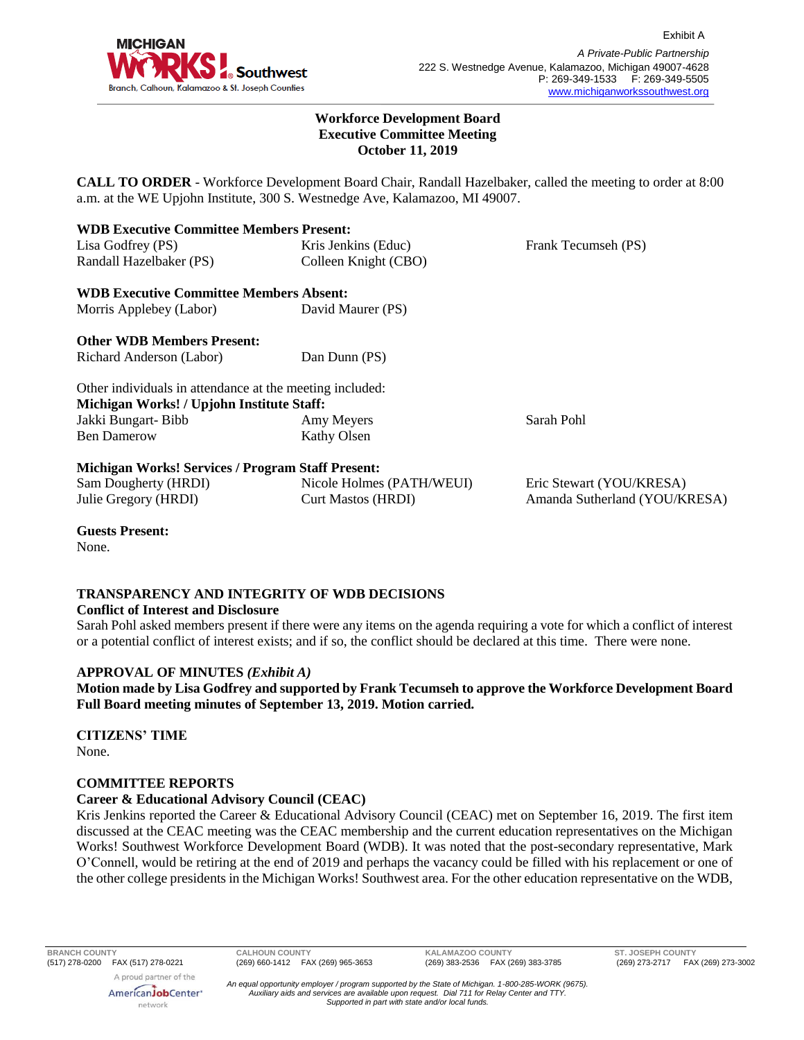

Exhibit A

#### **Workforce Development Board Executive Committee Meeting October 11, 2019**

**CALL TO ORDER** - Workforce Development Board Chair, Randall Hazelbaker, called the meeting to order at 8:00 a.m. at the WE Upjohn Institute, 300 S. Westnedge Ave, Kalamazoo, MI 49007.

| <b>WDB Executive Committee Members Present:</b>          |                           |                               |
|----------------------------------------------------------|---------------------------|-------------------------------|
| Lisa Godfrey (PS)                                        | Kris Jenkins (Educ)       | Frank Tecumseh (PS)           |
| Randall Hazelbaker (PS)                                  | Colleen Knight (CBO)      |                               |
| <b>WDB Executive Committee Members Absent:</b>           |                           |                               |
| Morris Applebey (Labor)                                  | David Maurer (PS)         |                               |
| <b>Other WDB Members Present:</b>                        |                           |                               |
| Richard Anderson (Labor)                                 | Dan Dunn (PS)             |                               |
| Other individuals in attendance at the meeting included: |                           |                               |
| Michigan Works! / Upjohn Institute Staff:                |                           |                               |
| Jakki Bungart-Bibb                                       | Amy Meyers                | Sarah Pohl                    |
| <b>Ben Damerow</b>                                       | Kathy Olsen               |                               |
| <b>Michigan Works! Services / Program Staff Present:</b> |                           |                               |
| Sam Dougherty (HRDI)                                     | Nicole Holmes (PATH/WEUI) | Eric Stewart (YOU/KRESA)      |
| Julie Gregory (HRDI)                                     | <b>Curt Mastos (HRDI)</b> | Amanda Sutherland (YOU/KRESA) |

**Guests Present:**

None.

# **TRANSPARENCY AND INTEGRITY OF WDB DECISIONS**

## **Conflict of Interest and Disclosure**

Sarah Pohl asked members present if there were any items on the agenda requiring a vote for which a conflict of interest or a potential conflict of interest exists; and if so, the conflict should be declared at this time. There were none.

## **APPROVAL OF MINUTES** *(Exhibit A)*

**Motion made by Lisa Godfrey and supported by Frank Tecumseh to approve the Workforce Development Board Full Board meeting minutes of September 13, 2019. Motion carried.** 

# **CITIZENS' TIME**

None.

## **COMMITTEE REPORTS**

## **Career & Educational Advisory Council (CEAC)**

Kris Jenkins reported the Career & Educational Advisory Council (CEAC) met on September 16, 2019. The first item discussed at the CEAC meeting was the CEAC membership and the current education representatives on the Michigan Works! Southwest Workforce Development Board (WDB). It was noted that the post-secondary representative, Mark O'Connell, would be retiring at the end of 2019 and perhaps the vacancy could be filled with his replacement or one of the other college presidents in the Michigan Works! Southwest area. For the other education representative on the WDB,

**BRANCH COUNTY CALHOUN COUNTY KALAMAZOO COUNTY ST. JOSEPH COUNTY**

AmericanJobCenter\* network

*An equal opportunity employer / program supported by the State of Michigan. 1-800-285-WORK (9675). Auxiliary aids and services are available upon request. Dial 711 for Relay Center and TTY. Supported in part with state and/or local funds.*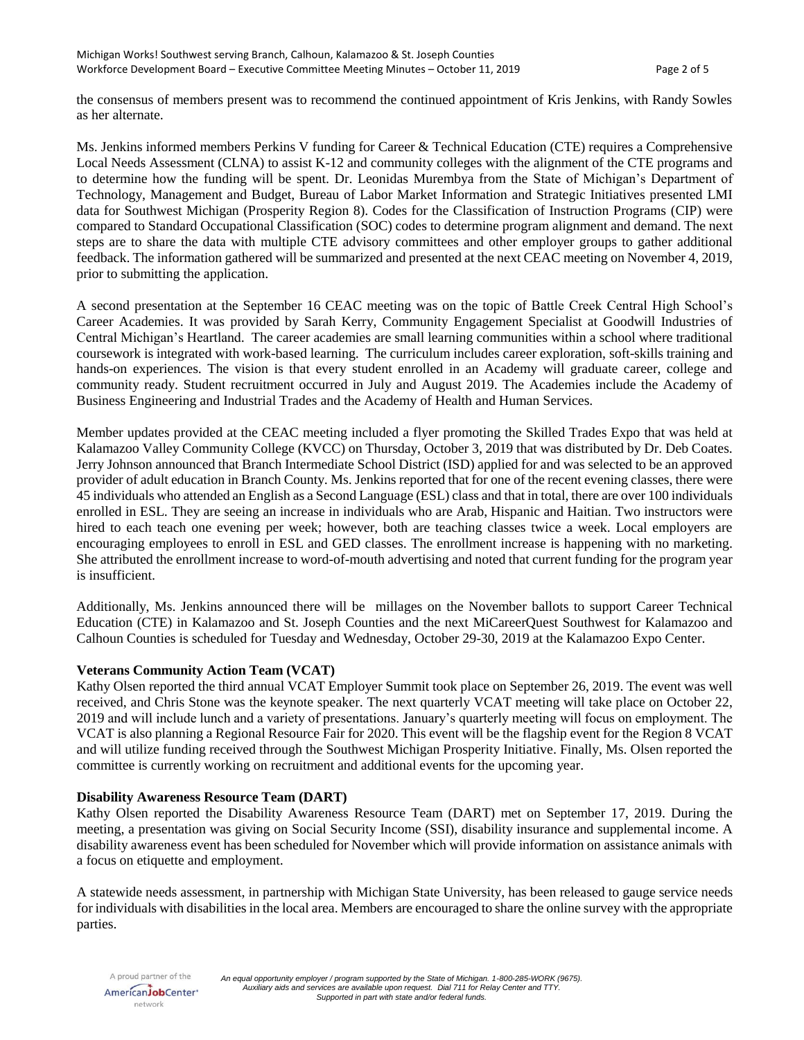the consensus of members present was to recommend the continued appointment of Kris Jenkins, with Randy Sowles as her alternate.

Ms. Jenkins informed members Perkins V funding for Career & Technical Education (CTE) requires a Comprehensive Local Needs Assessment (CLNA) to assist K-12 and community colleges with the alignment of the CTE programs and to determine how the funding will be spent. Dr. Leonidas Murembya from the State of Michigan's Department of Technology, Management and Budget, Bureau of Labor Market Information and Strategic Initiatives presented LMI data for Southwest Michigan (Prosperity Region 8). Codes for the Classification of Instruction Programs (CIP) were compared to Standard Occupational Classification (SOC) codes to determine program alignment and demand. The next steps are to share the data with multiple CTE advisory committees and other employer groups to gather additional feedback. The information gathered will be summarized and presented at the next CEAC meeting on November 4, 2019, prior to submitting the application.

A second presentation at the September 16 CEAC meeting was on the topic of Battle Creek Central High School's Career Academies. It was provided by Sarah Kerry, Community Engagement Specialist at Goodwill Industries of Central Michigan's Heartland. The career academies are small learning communities within a school where traditional coursework is integrated with work-based learning. The curriculum includes career exploration, soft-skills training and hands-on experiences. The vision is that every student enrolled in an Academy will graduate career, college and community ready. Student recruitment occurred in July and August 2019. The Academies include the Academy of Business Engineering and Industrial Trades and the Academy of Health and Human Services.

Member updates provided at the CEAC meeting included a flyer promoting the Skilled Trades Expo that was held at Kalamazoo Valley Community College (KVCC) on Thursday, October 3, 2019 that was distributed by Dr. Deb Coates. Jerry Johnson announced that Branch Intermediate School District (ISD) applied for and was selected to be an approved provider of adult education in Branch County. Ms. Jenkins reported that for one of the recent evening classes, there were 45 individuals who attended an English as a Second Language (ESL) class and that in total, there are over 100 individuals enrolled in ESL. They are seeing an increase in individuals who are Arab, Hispanic and Haitian. Two instructors were hired to each teach one evening per week; however, both are teaching classes twice a week. Local employers are encouraging employees to enroll in ESL and GED classes. The enrollment increase is happening with no marketing. She attributed the enrollment increase to word-of-mouth advertising and noted that current funding for the program year is insufficient.

Additionally, Ms. Jenkins announced there will be millages on the November ballots to support Career Technical Education (CTE) in Kalamazoo and St. Joseph Counties and the next MiCareerQuest Southwest for Kalamazoo and Calhoun Counties is scheduled for Tuesday and Wednesday, October 29-30, 2019 at the Kalamazoo Expo Center.

## **Veterans Community Action Team (VCAT)**

Kathy Olsen reported the third annual VCAT Employer Summit took place on September 26, 2019. The event was well received, and Chris Stone was the keynote speaker. The next quarterly VCAT meeting will take place on October 22, 2019 and will include lunch and a variety of presentations. January's quarterly meeting will focus on employment. The VCAT is also planning a Regional Resource Fair for 2020. This event will be the flagship event for the Region 8 VCAT and will utilize funding received through the Southwest Michigan Prosperity Initiative. Finally, Ms. Olsen reported the committee is currently working on recruitment and additional events for the upcoming year.

## **Disability Awareness Resource Team (DART)**

Kathy Olsen reported the Disability Awareness Resource Team (DART) met on September 17, 2019. During the meeting, a presentation was giving on Social Security Income (SSI), disability insurance and supplemental income. A disability awareness event has been scheduled for November which will provide information on assistance animals with a focus on etiquette and employment.

A statewide needs assessment, in partnership with Michigan State University, has been released to gauge service needs for individuals with disabilities in the local area. Members are encouraged to share the online survey with the appropriate parties.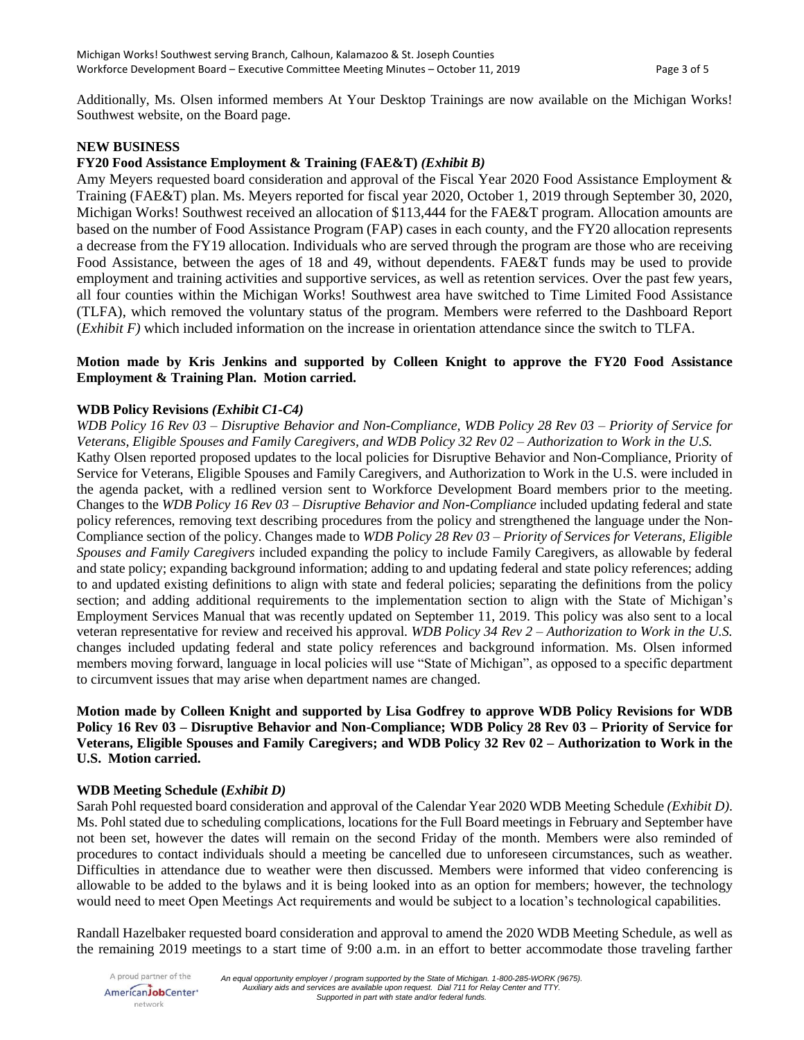Additionally, Ms. Olsen informed members At Your Desktop Trainings are now available on the Michigan Works! Southwest website, on the Board page.

#### **NEW BUSINESS**

#### **FY20 Food Assistance Employment & Training (FAE&T)** *(Exhibit B)*

Amy Meyers requested board consideration and approval of the Fiscal Year 2020 Food Assistance Employment & Training (FAE&T) plan. Ms. Meyers reported for fiscal year 2020, October 1, 2019 through September 30, 2020, Michigan Works! Southwest received an allocation of \$113,444 for the FAE&T program. Allocation amounts are based on the number of Food Assistance Program (FAP) cases in each county, and the FY20 allocation represents a decrease from the FY19 allocation. Individuals who are served through the program are those who are receiving Food Assistance, between the ages of 18 and 49, without dependents. FAE&T funds may be used to provide employment and training activities and supportive services, as well as retention services. Over the past few years, all four counties within the Michigan Works! Southwest area have switched to Time Limited Food Assistance (TLFA), which removed the voluntary status of the program. Members were referred to the Dashboard Report (*Exhibit F)* which included information on the increase in orientation attendance since the switch to TLFA.

## **Motion made by Kris Jenkins and supported by Colleen Knight to approve the FY20 Food Assistance Employment & Training Plan. Motion carried.**

#### **WDB Policy Revisions** *(Exhibit C1-C4)*

*WDB Policy 16 Rev 03 – Disruptive Behavior and Non-Compliance, WDB Policy 28 Rev 03 – Priority of Service for Veterans, Eligible Spouses and Family Caregivers, and WDB Policy 32 Rev 02 – Authorization to Work in the U.S.* Kathy Olsen reported proposed updates to the local policies for Disruptive Behavior and Non-Compliance, Priority of Service for Veterans, Eligible Spouses and Family Caregivers, and Authorization to Work in the U.S. were included in the agenda packet, with a redlined version sent to Workforce Development Board members prior to the meeting. Changes to the *WDB Policy 16 Rev 03 – Disruptive Behavior and Non-Compliance* included updating federal and state policy references, removing text describing procedures from the policy and strengthened the language under the Non-Compliance section of the policy. Changes made to *WDB Policy 28 Rev 03 – Priority of Services for Veterans, Eligible Spouses and Family Caregivers* included expanding the policy to include Family Caregivers, as allowable by federal and state policy; expanding background information; adding to and updating federal and state policy references; adding to and updated existing definitions to align with state and federal policies; separating the definitions from the policy section; and adding additional requirements to the implementation section to align with the State of Michigan's Employment Services Manual that was recently updated on September 11, 2019. This policy was also sent to a local veteran representative for review and received his approval. *WDB Policy 34 Rev 2 – Authorization to Work in the U.S.*  changes included updating federal and state policy references and background information. Ms. Olsen informed members moving forward, language in local policies will use "State of Michigan", as opposed to a specific department to circumvent issues that may arise when department names are changed.

## **Motion made by Colleen Knight and supported by Lisa Godfrey to approve WDB Policy Revisions for WDB Policy 16 Rev 03 – Disruptive Behavior and Non-Compliance; WDB Policy 28 Rev 03 – Priority of Service for Veterans, Eligible Spouses and Family Caregivers; and WDB Policy 32 Rev 02 – Authorization to Work in the U.S. Motion carried.**

#### **WDB Meeting Schedule (***Exhibit D)*

Sarah Pohl requested board consideration and approval of the Calendar Year 2020 WDB Meeting Schedule *(Exhibit D)*. Ms. Pohl stated due to scheduling complications, locations for the Full Board meetings in February and September have not been set, however the dates will remain on the second Friday of the month. Members were also reminded of procedures to contact individuals should a meeting be cancelled due to unforeseen circumstances, such as weather. Difficulties in attendance due to weather were then discussed. Members were informed that video conferencing is allowable to be added to the bylaws and it is being looked into as an option for members; however, the technology would need to meet Open Meetings Act requirements and would be subject to a location's technological capabilities.

Randall Hazelbaker requested board consideration and approval to amend the 2020 WDB Meeting Schedule, as well as the remaining 2019 meetings to a start time of 9:00 a.m. in an effort to better accommodate those traveling farther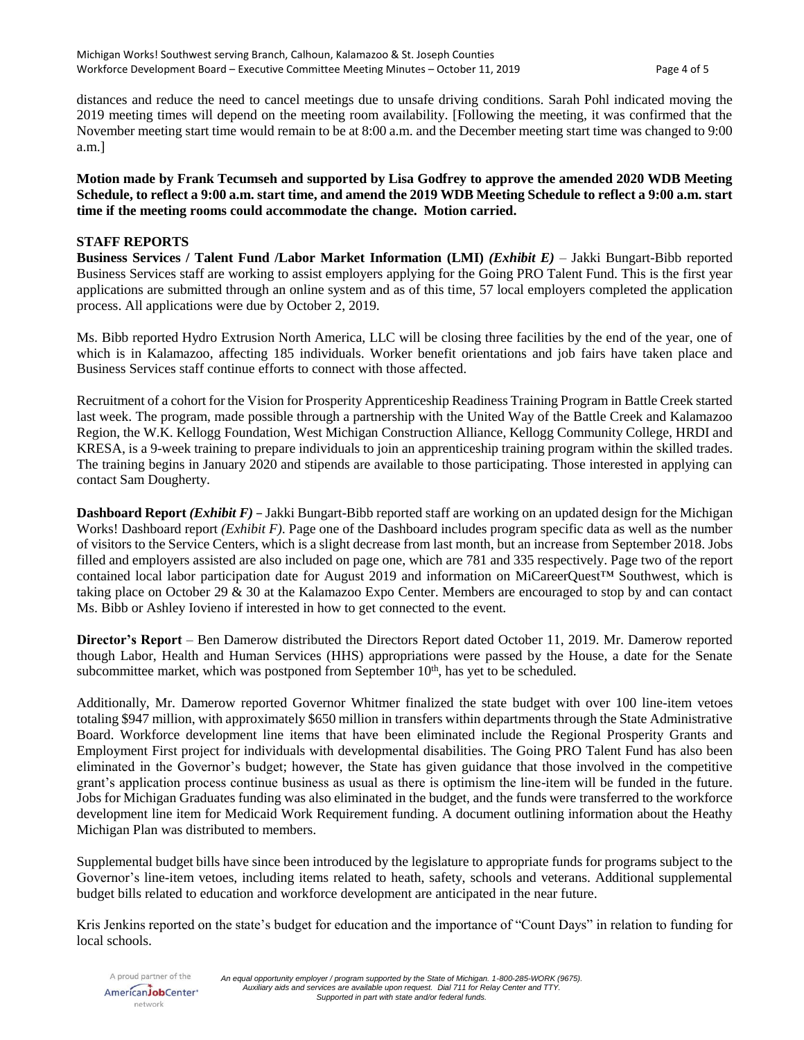distances and reduce the need to cancel meetings due to unsafe driving conditions. Sarah Pohl indicated moving the 2019 meeting times will depend on the meeting room availability. [Following the meeting, it was confirmed that the November meeting start time would remain to be at 8:00 a.m. and the December meeting start time was changed to 9:00 a.m.]

**Motion made by Frank Tecumseh and supported by Lisa Godfrey to approve the amended 2020 WDB Meeting Schedule, to reflect a 9:00 a.m. start time, and amend the 2019 WDB Meeting Schedule to reflect a 9:00 a.m. start time if the meeting rooms could accommodate the change. Motion carried.** 

## **STAFF REPORTS**

**Business Services / Talent Fund /Labor Market Information (LMI)** *(Exhibit E)* – Jakki Bungart-Bibb reported Business Services staff are working to assist employers applying for the Going PRO Talent Fund. This is the first year applications are submitted through an online system and as of this time, 57 local employers completed the application process. All applications were due by October 2, 2019.

Ms. Bibb reported Hydro Extrusion North America, LLC will be closing three facilities by the end of the year, one of which is in Kalamazoo, affecting 185 individuals. Worker benefit orientations and job fairs have taken place and Business Services staff continue efforts to connect with those affected.

Recruitment of a cohort for the Vision for Prosperity Apprenticeship Readiness Training Program in Battle Creek started last week. The program, made possible through a partnership with the United Way of the Battle Creek and Kalamazoo Region, the W.K. Kellogg Foundation, West Michigan Construction Alliance, Kellogg Community College, HRDI and KRESA, is a 9-week training to prepare individuals to join an apprenticeship training program within the skilled trades. The training begins in January 2020 and stipends are available to those participating. Those interested in applying can contact Sam Dougherty.

**Dashboard Report** *(Exhibit F)* – Jakki Bungart-Bibb reported staff are working on an updated design for the Michigan Works! Dashboard report *(Exhibit F)*. Page one of the Dashboard includes program specific data as well as the number of visitors to the Service Centers, which is a slight decrease from last month, but an increase from September 2018. Jobs filled and employers assisted are also included on page one, which are 781 and 335 respectively. Page two of the report contained local labor participation date for August 2019 and information on MiCareerQuest™ Southwest, which is taking place on October 29 & 30 at the Kalamazoo Expo Center. Members are encouraged to stop by and can contact Ms. Bibb or Ashley Iovieno if interested in how to get connected to the event.

**Director's Report** – Ben Damerow distributed the Directors Report dated October 11, 2019. Mr. Damerow reported though Labor, Health and Human Services (HHS) appropriations were passed by the House, a date for the Senate subcommittee market, which was postponed from September  $10<sup>th</sup>$ , has yet to be scheduled.

Additionally, Mr. Damerow reported Governor Whitmer finalized the state budget with over 100 line-item vetoes totaling \$947 million, with approximately \$650 million in transfers within departments through the State Administrative Board. Workforce development line items that have been eliminated include the Regional Prosperity Grants and Employment First project for individuals with developmental disabilities. The Going PRO Talent Fund has also been eliminated in the Governor's budget; however, the State has given guidance that those involved in the competitive grant's application process continue business as usual as there is optimism the line-item will be funded in the future. Jobs for Michigan Graduates funding was also eliminated in the budget, and the funds were transferred to the workforce development line item for Medicaid Work Requirement funding. A document outlining information about the Heathy Michigan Plan was distributed to members.

Supplemental budget bills have since been introduced by the legislature to appropriate funds for programs subject to the Governor's line-item vetoes, including items related to heath, safety, schools and veterans. Additional supplemental budget bills related to education and workforce development are anticipated in the near future.

Kris Jenkins reported on the state's budget for education and the importance of "Count Days" in relation to funding for local schools.